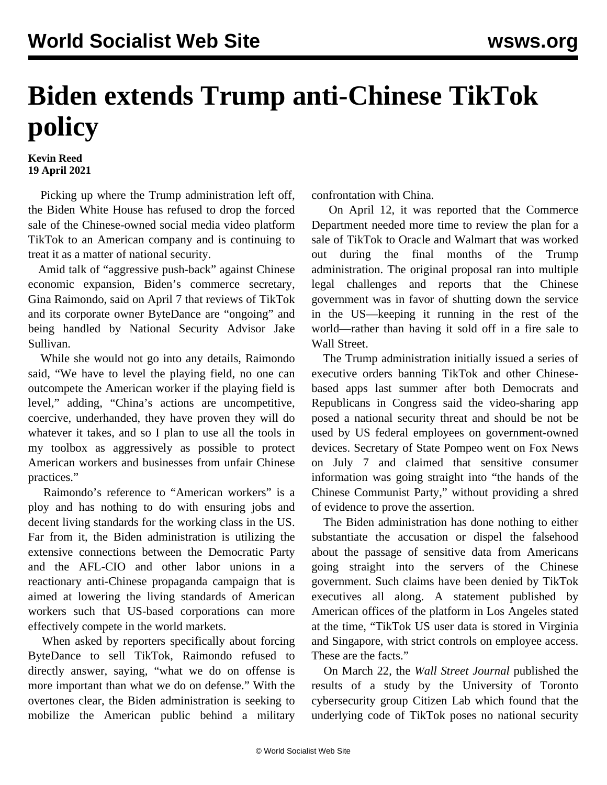## **Biden extends Trump anti-Chinese TikTok policy**

**Kevin Reed 19 April 2021**

 Picking up where the Trump administration left off, the Biden White House has refused to drop the forced sale of the Chinese-owned social media video platform TikTok to an American company and is continuing to treat it as a matter of national security.

 Amid talk of "aggressive push-back" against Chinese economic expansion, Biden's commerce secretary, Gina Raimondo, said on April 7 that reviews of TikTok and its corporate owner ByteDance are "ongoing" and being handled by National Security Advisor Jake Sullivan.

 While she would not go into any details, Raimondo said, "We have to level the playing field, no one can outcompete the American worker if the playing field is level," adding, "China's actions are uncompetitive, coercive, underhanded, they have proven they will do whatever it takes, and so I plan to use all the tools in my toolbox as aggressively as possible to protect American workers and businesses from unfair Chinese practices."

 Raimondo's reference to "American workers" is a ploy and has nothing to do with ensuring jobs and decent living standards for the working class in the US. Far from it, the Biden administration is utilizing the extensive connections between the Democratic Party and the AFL-CIO and other labor unions in a reactionary anti-Chinese propaganda campaign that is aimed at lowering the living standards of American workers such that US-based corporations can more effectively compete in the world markets.

 When asked by reporters specifically about forcing ByteDance to sell TikTok, Raimondo refused to directly answer, saying, "what we do on offense is more important than what we do on defense." With the overtones clear, the Biden administration is seeking to mobilize the American public behind a military

confrontation with China.

 On April 12, it was reported that the Commerce Department needed more time to review the plan for a sale of TikTok to Oracle and Walmart that was worked out during the final months of the Trump administration. The original proposal ran into multiple legal challenges and reports that the Chinese government was in favor of shutting down the service in the US—keeping it running in the rest of the world—rather than having it sold off in a fire sale to Wall Street.

 The Trump administration initially issued a series of executive orders banning TikTok and other Chinesebased apps last summer after both Democrats and Republicans in Congress said the video-sharing app posed a national security threat and should be not be used by US federal employees on government-owned devices. Secretary of State Pompeo went on Fox News on July 7 and claimed that sensitive consumer information was going straight into "the hands of the Chinese Communist Party," without providing a shred of evidence to prove the assertion.

 The Biden administration has done nothing to either substantiate the accusation or dispel the falsehood about the passage of sensitive data from Americans going straight into the servers of the Chinese government. Such claims have been denied by TikTok executives all along. A statement published by American offices of the platform in Los Angeles stated at the time, "TikTok US user data is stored in Virginia and Singapore, with strict controls on employee access. These are the facts."

 On March 22, the *Wall Street Journal* published the results of a study by the University of Toronto cybersecurity group Citizen Lab which found that the underlying code of TikTok poses no national security